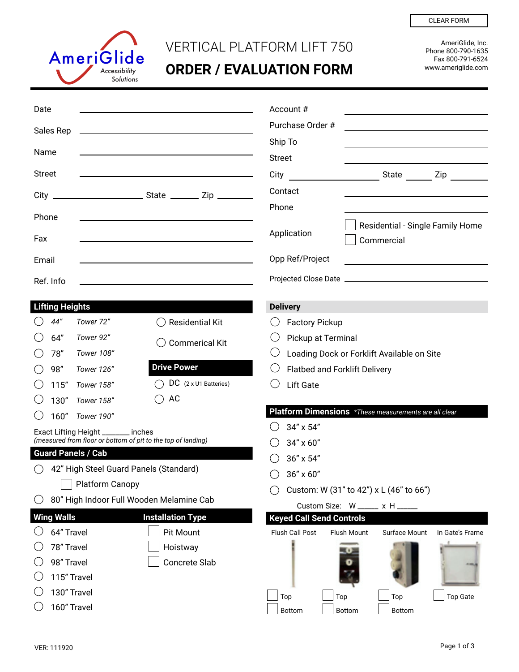

## VERTICAL PLATFORM LIFT 750

**ORDER / EVALUATION FORM**

AmeriGlide, Inc. Phone 800-790-1635 Fax 800-791-6524 www.ameriglide.com

CLEAR FORM

| Date                                                                                               |                        |                           |                                                                                           | Account#                                                      |                                                                                                                      |                                      |                                                       |                 |  |  |
|----------------------------------------------------------------------------------------------------|------------------------|---------------------------|-------------------------------------------------------------------------------------------|---------------------------------------------------------------|----------------------------------------------------------------------------------------------------------------------|--------------------------------------|-------------------------------------------------------|-----------------|--|--|
|                                                                                                    |                        |                           |                                                                                           |                                                               | Purchase Order #                                                                                                     |                                      |                                                       |                 |  |  |
| Sales Rep                                                                                          |                        |                           |                                                                                           |                                                               | Ship To                                                                                                              |                                      |                                                       |                 |  |  |
| Name                                                                                               |                        |                           |                                                                                           | <b>Street</b>                                                 |                                                                                                                      |                                      |                                                       |                 |  |  |
| <b>Street</b><br>the contract of the contract of the contract of the contract of the contract of   |                        |                           | City                                                                                      | State Zip                                                     |                                                                                                                      |                                      |                                                       |                 |  |  |
|                                                                                                    |                        |                           |                                                                                           | Contact                                                       |                                                                                                                      |                                      |                                                       |                 |  |  |
| $City$ $-$                                                                                         |                        |                           |                                                                                           |                                                               | Phone                                                                                                                |                                      |                                                       |                 |  |  |
| Phone<br>Fax                                                                                       |                        |                           |                                                                                           | Residential - Single Family Home<br>Application<br>Commercial |                                                                                                                      |                                      |                                                       |                 |  |  |
| Email<br>the control of the control of the control of the control of the control of the control of |                        |                           |                                                                                           |                                                               | Opp Ref/Project                                                                                                      |                                      |                                                       |                 |  |  |
|                                                                                                    |                        |                           |                                                                                           |                                                               | <u> 1989 - Johann John Stein, markin film ar yn y brenin y brenin y brenin y brenin y brenin y brenin y brenin y</u> |                                      |                                                       |                 |  |  |
|                                                                                                    | Ref. Info              |                           | the control of the control of the control of the control of the control of the control of |                                                               |                                                                                                                      |                                      |                                                       |                 |  |  |
|                                                                                                    | <b>Lifting Heights</b> |                           |                                                                                           | <b>Delivery</b>                                               |                                                                                                                      |                                      |                                                       |                 |  |  |
|                                                                                                    | 44"                    | Tower 72"                 | <b>Residential Kit</b>                                                                    |                                                               | <b>Factory Pickup</b>                                                                                                |                                      |                                                       |                 |  |  |
|                                                                                                    | 64"                    | Tower 92"                 | <b>Commerical Kit</b>                                                                     |                                                               | Pickup at Terminal                                                                                                   |                                      |                                                       |                 |  |  |
|                                                                                                    | 78"                    | Tower 108"                |                                                                                           |                                                               |                                                                                                                      |                                      | Loading Dock or Forklift Available on Site            |                 |  |  |
|                                                                                                    | 98"                    | Tower 126"                | <b>Drive Power</b>                                                                        |                                                               |                                                                                                                      | <b>Flatbed and Forklift Delivery</b> |                                                       |                 |  |  |
|                                                                                                    | 115"                   | Tower 158"                | DC (2 x U1 Batteries)                                                                     |                                                               | <b>Lift Gate</b>                                                                                                     |                                      |                                                       |                 |  |  |
|                                                                                                    | 130"                   | Tower 158"                | AC                                                                                        |                                                               |                                                                                                                      |                                      |                                                       |                 |  |  |
|                                                                                                    | 160"                   | Tower 190"                |                                                                                           |                                                               |                                                                                                                      |                                      | Platform Dimensions *These measurements are all clear |                 |  |  |
| Exact Lifting Height ______ inches                                                                 |                        |                           |                                                                                           |                                                               | 34" x 54"                                                                                                            |                                      |                                                       |                 |  |  |
|                                                                                                    |                        |                           | (measured from floor or bottom of pit to the top of landing)                              |                                                               | 34" x 60"                                                                                                            |                                      |                                                       |                 |  |  |
|                                                                                                    |                        | <b>Guard Panels / Cab</b> |                                                                                           |                                                               | 36" x 54"                                                                                                            |                                      |                                                       |                 |  |  |
|                                                                                                    |                        |                           | 42" High Steel Guard Panels (Standard)                                                    |                                                               | 36" x 60"                                                                                                            |                                      |                                                       |                 |  |  |
|                                                                                                    | Platform Canopy        |                           |                                                                                           |                                                               | Custom: W (31" to 42") x L (46" to 66")                                                                              |                                      |                                                       |                 |  |  |
|                                                                                                    |                        |                           | 80" High Indoor Full Wooden Melamine Cab                                                  |                                                               |                                                                                                                      | Custom Size: W _____ x H _____       |                                                       |                 |  |  |
|                                                                                                    | <b>Wing Walls</b>      |                           | <b>Installation Type</b>                                                                  |                                                               |                                                                                                                      | <b>Keyed Call Send Controls</b>      |                                                       |                 |  |  |
|                                                                                                    | 64" Travel             |                           | Pit Mount                                                                                 |                                                               | Flush Call Post                                                                                                      | <b>Flush Mount</b>                   | Surface Mount                                         | In Gate's Frame |  |  |
|                                                                                                    | 78" Travel             |                           | Hoistway                                                                                  |                                                               |                                                                                                                      |                                      |                                                       |                 |  |  |
|                                                                                                    | 98" Travel             |                           | Concrete Slab                                                                             |                                                               |                                                                                                                      |                                      |                                                       |                 |  |  |
|                                                                                                    | 115" Travel            |                           |                                                                                           |                                                               |                                                                                                                      |                                      |                                                       |                 |  |  |
|                                                                                                    | 130" Travel            |                           |                                                                                           | Top                                                           |                                                                                                                      | Top                                  | Top                                                   | <b>Top Gate</b> |  |  |
| 160" Travel                                                                                        |                        |                           |                                                                                           | Bottom                                                        | Bottom                                                                                                               | Bottom                               |                                                       |                 |  |  |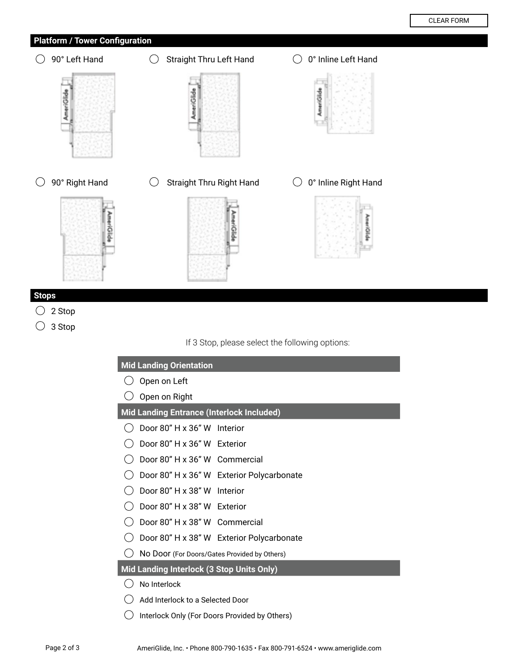AmeriOlds

## **Platform / Tower Configuration**

 $\bigcirc$  90° Left Hand  $\bigcirc$  Straight Thru Left Hand  $\bigcirc$  0° Inline Left Hand Æ AmeriClide AmeriGlide AmeriGlide  $\bigcirc$  90° Right Hand  $\bigcirc$  Straight Thru Right Hand  $\bigcirc$  0° Inline Right Hand kmeriGlide

## **Stops**

- $\bigcirc$  2 Stop
- 3 Stop

If 3 Stop, please select the following options:

| <b>Mid Landing Orientation</b>                   |  |  |  |  |  |  |  |
|--------------------------------------------------|--|--|--|--|--|--|--|
| Open on Left                                     |  |  |  |  |  |  |  |
| Open on Right                                    |  |  |  |  |  |  |  |
| <b>Mid Landing Entrance (Interlock Included)</b> |  |  |  |  |  |  |  |
| Door 80" H x 36" W Interior                      |  |  |  |  |  |  |  |
| Door 80" H x 36" W Exterior                      |  |  |  |  |  |  |  |
| Door 80" H x 36" W Commercial                    |  |  |  |  |  |  |  |
| Door 80" H x 36" W Exterior Polycarbonate        |  |  |  |  |  |  |  |
| Door 80" H x 38" W Interior                      |  |  |  |  |  |  |  |
| Door 80" H x 38" W Exterior                      |  |  |  |  |  |  |  |
| Door 80" H x 38" W Commercial                    |  |  |  |  |  |  |  |
| Door 80" H x 38" W Exterior Polycarbonate        |  |  |  |  |  |  |  |
| No Door (For Doors/Gates Provided by Others)     |  |  |  |  |  |  |  |
| Mid Landing Interlock (3 Stop Units Only)        |  |  |  |  |  |  |  |
| No Interlock                                     |  |  |  |  |  |  |  |
| Add Interlock to a Selected Door                 |  |  |  |  |  |  |  |
| Interlock Only (For Doors Provided by Others)    |  |  |  |  |  |  |  |